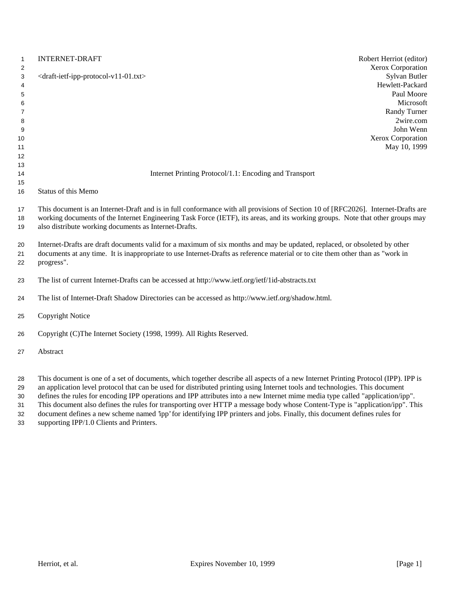| $\mathbf{1}$<br>$\overline{2}$                     | <b>INTERNET-DRAFT</b>                                                                                                                                                                                                                                                                                                        | Robert Herriot (editor)<br>Xerox Corporation                                                                               |
|----------------------------------------------------|------------------------------------------------------------------------------------------------------------------------------------------------------------------------------------------------------------------------------------------------------------------------------------------------------------------------------|----------------------------------------------------------------------------------------------------------------------------|
| 3<br>4<br>5<br>6<br>$\overline{7}$<br>8<br>9<br>10 | <draft-ietf-ipp-protocol-v11-01.txt></draft-ietf-ipp-protocol-v11-01.txt>                                                                                                                                                                                                                                                    | Sylvan Butler<br>Hewlett-Packard<br>Paul Moore<br>Microsoft<br>Randy Turner<br>2wire.com<br>John Wenn<br>Xerox Corporation |
| 11<br>12                                           |                                                                                                                                                                                                                                                                                                                              | May 10, 1999                                                                                                               |
| 13                                                 |                                                                                                                                                                                                                                                                                                                              |                                                                                                                            |
| 14                                                 | Internet Printing Protocol/1.1: Encoding and Transport                                                                                                                                                                                                                                                                       |                                                                                                                            |
| 15                                                 |                                                                                                                                                                                                                                                                                                                              |                                                                                                                            |
| 16                                                 | Status of this Memo                                                                                                                                                                                                                                                                                                          |                                                                                                                            |
| 17<br>18<br>19                                     | This document is an Internet-Draft and is in full conformance with all provisions of Section 10 of [RFC2026]. Internet-Drafts are<br>working documents of the Internet Engineering Task Force (IETF), its areas, and its working groups. Note that other groups may<br>also distribute working documents as Internet-Drafts. |                                                                                                                            |
| 20<br>21<br>22                                     | Internet-Drafts are draft documents valid for a maximum of six months and may be updated, replaced, or obsoleted by other<br>documents at any time. It is inappropriate to use Internet-Drafts as reference material or to cite them other than as "work in<br>progress".                                                    |                                                                                                                            |
| 23                                                 | The list of current Internet-Drafts can be accessed at http://www.ietf.org/ietf/1id-abstracts.txt                                                                                                                                                                                                                            |                                                                                                                            |
| 24                                                 | The list of Internet-Draft Shadow Directories can be accessed as http://www.ietf.org/shadow.html.                                                                                                                                                                                                                            |                                                                                                                            |
| 25                                                 | <b>Copyright Notice</b>                                                                                                                                                                                                                                                                                                      |                                                                                                                            |
| 26                                                 | Copyright (C)The Internet Society (1998, 1999). All Rights Reserved.                                                                                                                                                                                                                                                         |                                                                                                                            |
| 27                                                 | Abstract                                                                                                                                                                                                                                                                                                                     |                                                                                                                            |
|                                                    | This descending the company of descentive distribution description of the company of Delayers Decentral (TDD) TDD                                                                                                                                                                                                            |                                                                                                                            |

 This document is one of a set of documents, which together describe all aspects of a new Internet Printing Protocol (IPP). IPP is an application level protocol that can be used for distributed printing using Internet tools and technologies. This document

defines the rules for encoding IPP operations and IPP attributes into a new Internet mime media type called "application/ipp".

 This document also defines the rules for transporting over HTTP a message body whose Content-Type is "application/ipp". This document defines a new scheme named 'ipp' for identifying IPP printers and jobs. Finally, this document defines rules for

supporting IPP/1.0 Clients and Printers.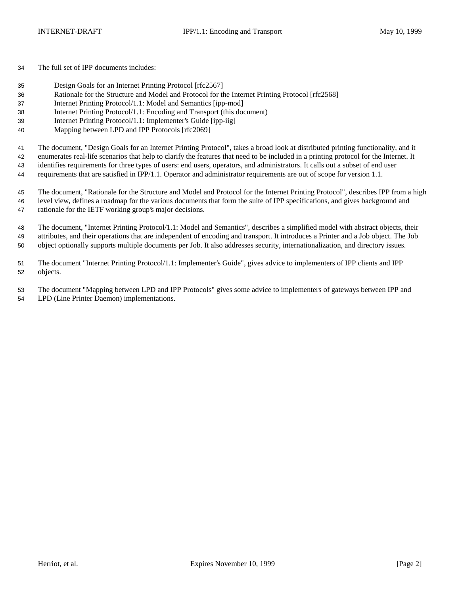The full set of IPP documents includes:

- Design Goals for an Internet Printing Protocol [rfc2567]
- Rationale for the Structure and Model and Protocol for the Internet Printing Protocol [rfc2568]
- Internet Printing Protocol/1.1: Model and Semantics [ipp-mod]
- Internet Printing Protocol/1.1: Encoding and Transport (this document)
- Internet Printing Protocol/1.1: Implementer's Guide [ipp-iig]
- Mapping between LPD and IPP Protocols [rfc2069]

The document, "Design Goals for an Internet Printing Protocol", takes a broad look at distributed printing functionality, and it

enumerates real-life scenarios that help to clarify the features that need to be included in a printing protocol for the Internet. It

 identifies requirements for three types of users: end users, operators, and administrators. It calls out a subset of end user requirements that are satisfied in IPP/1.1. Operator and administrator requirements are out of scope for version 1.1.

 The document, "Rationale for the Structure and Model and Protocol for the Internet Printing Protocol", describes IPP from a high level view, defines a roadmap for the various documents that form the suite of IPP specifications, and gives background and rationale for the IETF working group's major decisions.

 The document, "Internet Printing Protocol/1.1: Model and Semantics", describes a simplified model with abstract objects, their attributes, and their operations that are independent of encoding and transport. It introduces a Printer and a Job object. The Job object optionally supports multiple documents per Job. It also addresses security, internationalization, and directory issues.

 The document "Internet Printing Protocol/1.1: Implementer's Guide", gives advice to implementers of IPP clients and IPP objects.

 The document "Mapping between LPD and IPP Protocols" gives some advice to implementers of gateways between IPP and LPD (Line Printer Daemon) implementations.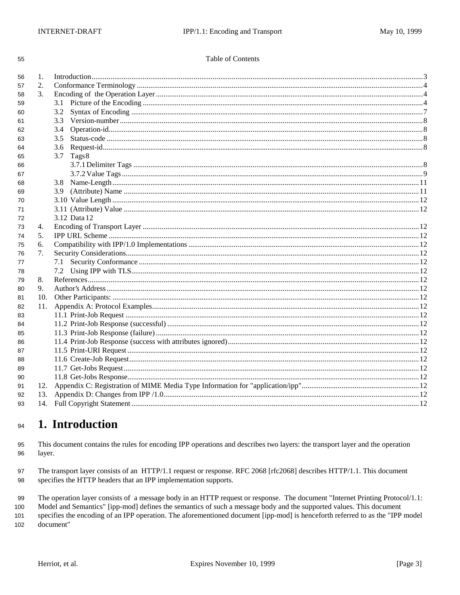| I | I<br>I |
|---|--------|

#### Table of Contents

| 56 | 1.                              |                          |  |
|----|---------------------------------|--------------------------|--|
| 57 | 2.                              |                          |  |
| 58 | $\mathcal{E}$                   |                          |  |
| 59 |                                 | 3.1                      |  |
| 60 |                                 | 3.2                      |  |
| 61 |                                 | 3.3                      |  |
| 62 |                                 | 3.4                      |  |
| 63 |                                 | 3.5                      |  |
| 64 |                                 | 3.6                      |  |
| 65 |                                 | 3.7<br>Tags <sup>8</sup> |  |
| 66 |                                 |                          |  |
| 67 |                                 |                          |  |
| 68 |                                 |                          |  |
| 69 |                                 |                          |  |
| 70 |                                 |                          |  |
| 71 |                                 |                          |  |
| 72 |                                 | 3.12 Data 12             |  |
| 73 | 4.                              |                          |  |
| 74 | 5.                              |                          |  |
| 75 | 6.                              |                          |  |
| 76 | $7_{\scriptscriptstyle{\circ}}$ |                          |  |
| 77 |                                 | 7.1                      |  |
| 78 |                                 |                          |  |
| 79 | 8.                              |                          |  |
| 80 | 9.                              |                          |  |
| 81 | 10.                             |                          |  |
| 82 | 11.                             |                          |  |
| 83 |                                 |                          |  |
| 84 |                                 |                          |  |
| 85 |                                 |                          |  |
| 86 |                                 |                          |  |
| 87 |                                 |                          |  |
| 88 |                                 |                          |  |
| 89 |                                 |                          |  |
| 90 |                                 |                          |  |
| 91 | 12.                             |                          |  |
| 92 | 13.                             |                          |  |
| 93 |                                 |                          |  |
|    |                                 |                          |  |

#### 1. Introduction 94

95 This document contains the rules for encoding IPP operations and describes two layers: the transport layer and the operation 96 layer.

The transport layer consists of an HTTP/1.1 request or response. RFC 2068 [rfc2068] describes HTTP/1.1. This document 97 specifies the HTTP headers that an IPP implementation supports. 98

99 The operation layer consists of a message body in an HTTP request or response. The document "Internet Printing Protocol/1.1:

100 Model and Semantics" [ipp-mod] defines the semantics of such a message body and the supported values. This document

101 specifies the encoding of an IPP operation. The aforementioned document [ipp-mod] is henceforth referred to as the "IPP model 102 document"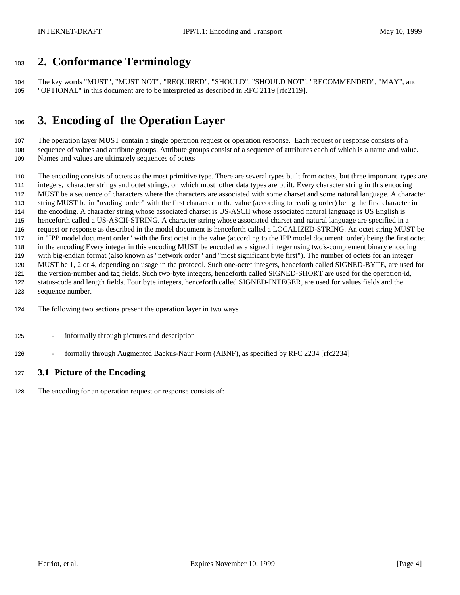# **2. Conformance Terminology**

 The key words "MUST", "MUST NOT", "REQUIRED", "SHOULD", "SHOULD NOT", "RECOMMENDED", "MAY", and "OPTIONAL" in this document are to be interpreted as described in RFC 2119 [rfc2119].

# **3. Encoding of the Operation Layer**

 The operation layer MUST contain a single operation request or operation response. Each request or response consists of a sequence of values and attribute groups. Attribute groups consist of a sequence of attributes each of which is a name and value. Names and values are ultimately sequences of octets

 The encoding consists of octets as the most primitive type. There are several types built from octets, but three important types are integers, character strings and octet strings, on which most other data types are built. Every character string in this encoding MUST be a sequence of characters where the characters are associated with some charset and some natural language. A character string MUST be in "reading order" with the first character in the value (according to reading order) being the first character in the encoding. A character string whose associated charset is US-ASCII whose associated natural language is US English is henceforth called a US-ASCII-STRING. A character string whose associated charset and natural language are specified in a request or response as described in the model document is henceforth called a LOCALIZED-STRING. An octet string MUST be in "IPP model document order" with the first octet in the value (according to the IPP model document order) being the first octet in the encoding Every integer in this encoding MUST be encoded as a signed integer using two's-complement binary encoding with big-endian format (also known as "network order" and "most significant byte first"). The number of octets for an integer MUST be 1, 2 or 4, depending on usage in the protocol. Such one-octet integers, henceforth called SIGNED-BYTE, are used for the version-number and tag fields. Such two-byte integers, henceforth called SIGNED-SHORT are used for the operation-id, status-code and length fields. Four byte integers, henceforth called SIGNED-INTEGER, are used for values fields and the sequence number.

- The following two sections present the operation layer in two ways
- informally through pictures and description
- 126 formally through Augmented Backus-Naur Form (ABNF), as specified by RFC 2234 [rfc2234]

### **3.1 Picture of the Encoding**

The encoding for an operation request or response consists of: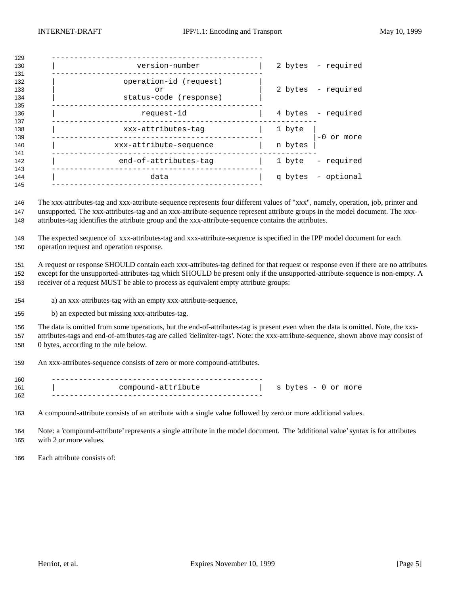| 129                      |                                                        |         |                    |
|--------------------------|--------------------------------------------------------|---------|--------------------|
| 130<br>131               | version-number                                         |         | 2 bytes - required |
| 132<br>133<br>134<br>135 | operation-id (request)<br>or<br>status-code (response) |         | 2 bytes - required |
| 136<br>137               | request-id                                             |         | 4 bytes - required |
| 138<br>139               | xxx-attributes-tag                                     | 1 byte  | $-0$ or more       |
| 140<br>141               | xxx-attribute-sequence                                 | n bytes |                    |
| 142<br>143               | end-of-attributes-tag                                  | 1 byte  | - required         |
| 144<br>145               | data                                                   |         | q bytes - optional |
|                          |                                                        |         |                    |

 The xxx-attributes-tag and xxx-attribute-sequence represents four different values of "xxx", namely, operation, job, printer and unsupported. The xxx-attributes-tag and an xxx-attribute-sequence represent attribute groups in the model document. The xxx-attributes-tag identifies the attribute group and the xxx-attribute-sequence contains the attributes.

 The expected sequence of xxx-attributes-tag and xxx-attribute-sequence is specified in the IPP model document for each operation request and operation response.

 A request or response SHOULD contain each xxx-attributes-tag defined for that request or response even if there are no attributes except for the unsupported-attributes-tag which SHOULD be present only if the unsupported-attribute-sequence is non-empty. A receiver of a request MUST be able to process as equivalent empty attribute groups:

- a) an xxx-attributes-tag with an empty xxx-attribute-sequence,
- b) an expected but missing xxx-attributes-tag.

 The data is omitted from some operations, but the end-of-attributes-tag is present even when the data is omitted. Note, the xxx- attributes-tags and end-of-attributes-tag are called 'delimiter-tags'. Note: the xxx-attribute-sequence, shown above may consist of 0 bytes, according to the rule below.

An xxx-attributes-sequence consists of zero or more compound-attributes.

| 160 |                    |                     |  |
|-----|--------------------|---------------------|--|
| 161 | compound-attribute | s bytes - 0 or more |  |
| 162 |                    |                     |  |

A compound-attribute consists of an attribute with a single value followed by zero or more additional values.

 Note: a 'compound-attribute' represents a single attribute in the model document. The 'additional value' syntax is for attributes with 2 or more values.

Each attribute consists of: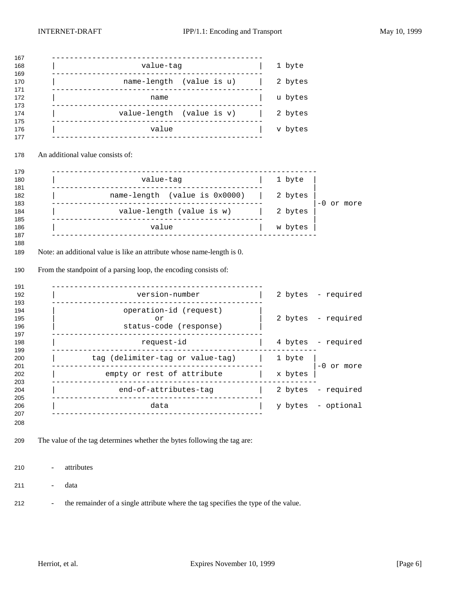|                                  | value-tag<br>name-length (value is u)                                                                                                               | 1 byte             |                          |
|----------------------------------|-----------------------------------------------------------------------------------------------------------------------------------------------------|--------------------|--------------------------|
|                                  |                                                                                                                                                     |                    |                          |
|                                  |                                                                                                                                                     | 2 bytes            |                          |
|                                  | name<br>-------                                                                                                                                     | u bytes            |                          |
|                                  | value-length (value is v)                                                                                                                           | 2 bytes            |                          |
|                                  | value                                                                                                                                               | v bytes            |                          |
| An additional value consists of: |                                                                                                                                                     |                    |                          |
|                                  | ----------------<br>value-tag                                                                                                                       | 1 byte             |                          |
|                                  | name-length (value is 0x0000)                                                                                                                       | 2 bytes            |                          |
|                                  | value-length (value is w)                                                                                                                           | 2 bytes            | -0 or more               |
|                                  |                                                                                                                                                     |                    |                          |
|                                  | value<br>Note: an additional value is like an attribute whose name-length is 0.<br>From the standpoint of a parsing loop, the encoding consists of: | w bytes            |                          |
|                                  |                                                                                                                                                     |                    |                          |
|                                  | version-number                                                                                                                                      |                    | 2 bytes - required       |
|                                  | operation-id (request)                                                                                                                              |                    |                          |
|                                  | or<br>status-code (response)                                                                                                                        |                    | 2 bytes - required       |
|                                  | request-id                                                                                                                                          |                    | 4 bytes - required       |
|                                  | tag (delimiter-tag or value-tag)                                                                                                                    | 1 byte             |                          |
|                                  | empty or rest of attribute                                                                                                                          | x bytes            | $-0$ or more             |
|                                  | _________________                                                                                                                                   |                    |                          |
|                                  | end-of-attributes-tag<br>--------------------<br>data                                                                                               | 2 bytes<br>y bytes | - required<br>- optional |

- the remainder of a single attribute where the tag specifies the type of the value.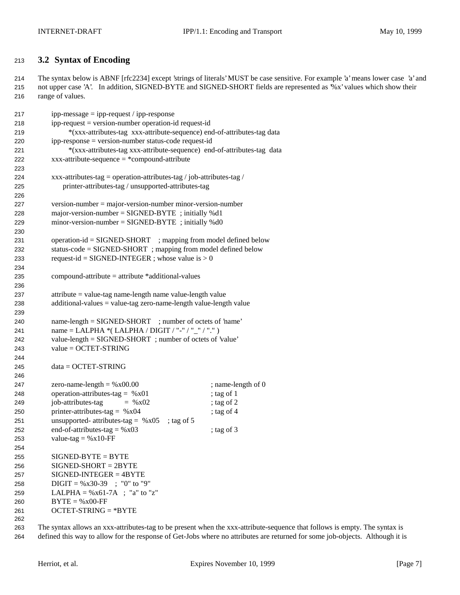### **3.2 Syntax of Encoding**

 The syntax below is ABNF [rfc2234] except 'strings of literals' MUST be case sensitive. For example 'a' means lower case 'a' and not upper case 'A'. In addition, SIGNED-BYTE and SIGNED-SHORT fields are represented as '%x' values which show their range of values.

| 217 | $ipp-message = ipp-request / ipp-response$                                         |                    |
|-----|------------------------------------------------------------------------------------|--------------------|
| 218 | ipp-request = version-number operation-id request-id                               |                    |
| 219 | *(xxx-attributes-tag xxx-attribute-sequence) end-of-attributes-tag data            |                    |
| 220 | ipp-response = version-number status-code request-id                               |                    |
| 221 | *(xxx-attributes-tag xxx-attribute-sequence) end-of-attributes-tag data            |                    |
| 222 | $xxxx$ -attribute-sequence = *compound-attribute                                   |                    |
| 223 |                                                                                    |                    |
| 224 | xxx-attributes-tag = operation-attributes-tag / job-attributes-tag /               |                    |
| 225 | printer-attributes-tag / unsupported-attributes-tag                                |                    |
| 226 |                                                                                    |                    |
| 227 | $version-number = majorversion-number minor-version-number$                        |                    |
| 228 | major-version-number = $SIGNED-BYTE$ ; initially %d1                               |                    |
| 229 | $minor-version-number = SIGNED-BYTE$ ; initially %d0                               |                    |
| 230 |                                                                                    |                    |
| 231 | operation-id = SIGNED-SHORT ; mapping from model defined below                     |                    |
| 232 | status-code = SIGNED-SHORT ; mapping from model defined below                      |                    |
| 233 | request-id = SIGNED-INTEGER ; whose value is $> 0$                                 |                    |
| 234 |                                                                                    |                    |
| 235 | $compound-attribute = attribute * additional-values$                               |                    |
| 236 |                                                                                    |                    |
| 237 | attribute = value-tag name-length name value-length value                          |                    |
| 238 | $additional-values = value-tag zero-name-length value-length value$                |                    |
|     |                                                                                    |                    |
| 239 | name-length = SIGNED-SHORT ; number of octets of 'name'                            |                    |
| 240 |                                                                                    |                    |
| 241 | name = LALPHA *(LALPHA / DIGIT / "-" / "_" / ".")                                  |                    |
| 242 | value-length = SIGNED-SHORT; number of octets of 'value'<br>$value = OCTET-STRING$ |                    |
| 243 |                                                                                    |                    |
| 244 |                                                                                    |                    |
| 245 | $data = OCTET-STRING$                                                              |                    |
| 246 |                                                                                    |                    |
| 247 | zero-name-length = $%x00.00$                                                       | ; name-length of 0 |
| 248 | operation-attributes-tag = $%x01$                                                  | ; tag of 1         |
| 249 | job-attributes-tag<br>$=$ % x02                                                    | ; tag of $2$       |
| 250 | printer-attributes-tag = $%x04$                                                    | ; tag of $4$       |
| 251 | unsupported- attributes-tag = $%x05$<br>; tag of $5$                               |                    |
| 252 | end-of-attributes-tag = $%x03$                                                     | ; tag of 3         |
| 253 | value-tag = $%x10$ -FF                                                             |                    |
| 254 |                                                                                    |                    |
| 255 | $SIGNED-BYTE = BYTE$                                                               |                    |
| 256 | $SIGNED-SHORT = 2BYTE$                                                             |                    |
| 257 | $SIGNED-INTER = 4BYTE$                                                             |                    |
| 258 | $\text{Diff} = \% \times 30-39$ ; "0" to "9"                                       |                    |
| 259 | LALPHA = $%x61-7A$ ; "a" to "z"                                                    |                    |
| 260 | $BYTE = %x00-FF$                                                                   |                    |
| 261 | $OCTET-STRING = *BYTE$                                                             |                    |
| 262 |                                                                                    |                    |

 The syntax allows an xxx-attributes-tag to be present when the xxx-attribute-sequence that follows is empty. The syntax is defined this way to allow for the response of Get-Jobs where no attributes are returned for some job-objects. Although it is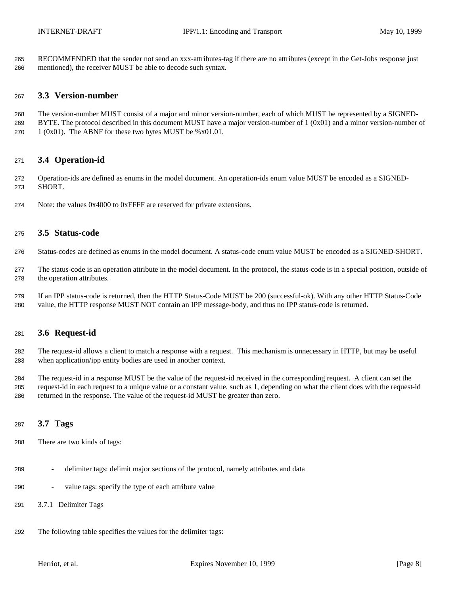RECOMMENDED that the sender not send an xxx-attributes-tag if there are no attributes (except in the Get-Jobs response just mentioned), the receiver MUST be able to decode such syntax.

#### **3.3 Version-number**

 The version-number MUST consist of a major and minor version-number, each of which MUST be represented by a SIGNED-269 BYTE. The protocol described in this document MUST have a major version-number of  $1 (0x01)$  and a minor version-number of 270  $1 (0x01)$ . The ABNF for these two bytes MUST be %x01.01.

#### **3.4 Operation-id**

 Operation-ids are defined as enums in the model document. An operation-ids enum value MUST be encoded as a SIGNED-SHORT.

Note: the values 0x4000 to 0xFFFF are reserved for private extensions.

### **3.5 Status-code**

Status-codes are defined as enums in the model document. A status-code enum value MUST be encoded as a SIGNED-SHORT.

- The status-code is an operation attribute in the model document. In the protocol, the status-code is in a special position, outside of the operation attributes.
- If an IPP status-code is returned, then the HTTP Status-Code MUST be 200 (successful-ok). With any other HTTP Status-Code value, the HTTP response MUST NOT contain an IPP message-body, and thus no IPP status-code is returned.

### **3.6 Request-id**

 The request-id allows a client to match a response with a request. This mechanism is unnecessary in HTTP, but may be useful when application/ipp entity bodies are used in another context.

 The request-id in a response MUST be the value of the request-id received in the corresponding request. A client can set the request-id in each request to a unique value or a constant value, such as 1, depending on what the client does with the request-id returned in the response. The value of the request-id MUST be greater than zero.

### **3.7 Tags**

- There are two kinds of tags:
- delimiter tags: delimit major sections of the protocol, namely attributes and data
- value tags: specify the type of each attribute value
- 3.7.1 Delimiter Tags
- The following table specifies the values for the delimiter tags: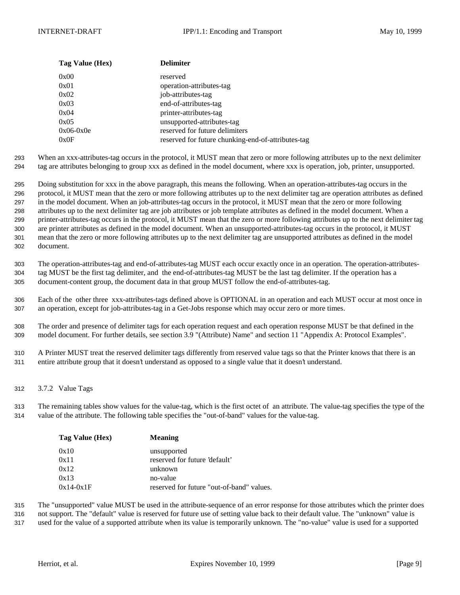| Tag Value (Hex) | <b>Delimiter</b>                                   |
|-----------------|----------------------------------------------------|
| 0x00            | reserved                                           |
| 0x01            | operation-attributes-tag                           |
| 0x02            | job-attributes-tag                                 |
| 0x03            | end-of-attributes-tag                              |
| 0x04            | printer-attributes-tag                             |
| 0x05            | unsupported-attributes-tag                         |
| $0x06-0x0e$     | reserved for future delimiters                     |
| 0x0F            | reserved for future chunking-end-of-attributes-tag |

293 When an xxx-attributes-tag occurs in the protocol, it MUST mean that zero or more following attributes up to the next delimiter 294 tag are attributes belonging to group xxx as defined in the model document, where xxx is operation, job, printer, unsupported.

 Doing substitution for xxx in the above paragraph, this means the following. When an operation-attributes-tag occurs in the protocol, it MUST mean that the zero or more following attributes up to the next delimiter tag are operation attributes as defined in the model document. When an job-attributes-tag occurs in the protocol, it MUST mean that the zero or more following attributes up to the next delimiter tag are job attributes or job template attributes as defined in the model document. When a printer-attributes-tag occurs in the protocol, it MUST mean that the zero or more following attributes up to the next delimiter tag are printer attributes as defined in the model document. When an unsupported-attributes-tag occurs in the protocol, it MUST mean that the zero or more following attributes up to the next delimiter tag are unsupported attributes as defined in the model document.

303 The operation-attributes-tag and end-of-attributes-tag MUST each occur exactly once in an operation. The operation-attributes-304 tag MUST be the first tag delimiter, and the end-of-attributes-tag MUST be the last tag delimiter. If the operation has a 305 document-content group, the document data in that group MUST follow the end-of-attributes-tag.

306 Each of the other three xxx-attributes-tags defined above is OPTIONAL in an operation and each MUST occur at most once in 307 an operation, except for job-attributes-tag in a Get-Jobs response which may occur zero or more times.

308 The order and presence of delimiter tags for each operation request and each operation response MUST be that defined in the 309 model document. For further details, see section 3.9 "(Attribute) Name" and section 11 "Appendix A: Protocol Examples".

310 A Printer MUST treat the reserved delimiter tags differently from reserved value tags so that the Printer knows that there is an 311 entire attribute group that it doesn't understand as opposed to a single value that it doesn't understand.

312 3.7.2 Value Tags

313 The remaining tables show values for the value-tag, which is the first octet of an attribute. The value-tag specifies the type of the 314 value of the attribute. The following table specifies the "out-of-band" values for the value-tag.

| Tag Value (Hex) | <b>Meaning</b>                            |
|-----------------|-------------------------------------------|
| 0x10            | unsupported                               |
| 0x11            | reserved for future 'default'             |
| 0x12            | unknown                                   |
| 0x13            | no-value                                  |
| $0x14-0x1F$     | reserved for future "out-of-band" values. |

315 The "unsupported" value MUST be used in the attribute-sequence of an error response for those attributes which the printer does

316 not support. The "default" value is reserved for future use of setting value back to their default value. The "unknown" value is

317 used for the value of a supported attribute when its value is temporarily unknown. The "no-value" value is used for a supported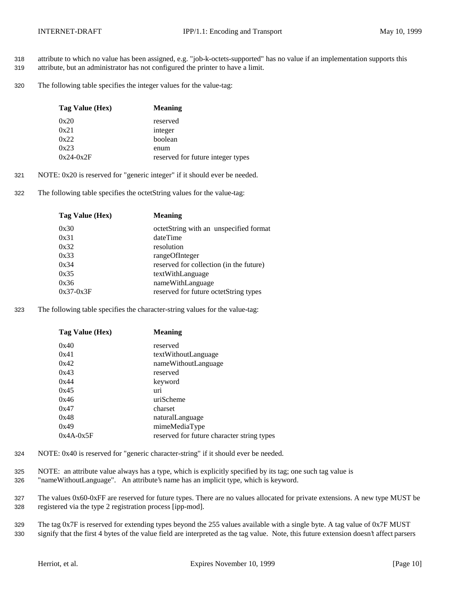- 318 attribute to which no value has been assigned, e.g. "job-k-octets-supported" has no value if an implementation supports this
- 319 attribute, but an administrator has not configured the printer to have a limit.
- 320 The following table specifies the integer values for the value-tag:

| Tag Value (Hex) | <b>Meaning</b>                    |
|-----------------|-----------------------------------|
| 0x20            | reserved                          |
| 0x21            | integer                           |
| 0x22            | boolean                           |
| 0x23            | enum                              |
| $0x24-0x2F$     | reserved for future integer types |

- 321 NOTE: 0x20 is reserved for "generic integer" if it should ever be needed.
- 322 The following table specifies the octetString values for the value-tag:

| Tag Value (Hex) | <b>Meaning</b>                          |
|-----------------|-----------------------------------------|
| 0x30            | octetString with an unspecified format  |
| 0x31            | dateTime                                |
| 0x32            | resolution                              |
| 0x33            | rangeOfInteger                          |
| 0x34            | reserved for collection (in the future) |
| 0x35            | textWithLanguage                        |
| 0x36            | nameWithLanguage                        |
| $0x37-0x3F$     | reserved for future octetString types   |
|                 |                                         |

323 The following table specifies the character-string values for the value-tag:

| Tag Value (Hex) | <b>Meaning</b>                             |
|-----------------|--------------------------------------------|
| 0x40            | reserved                                   |
| 0x41            | textWithoutLanguage                        |
| 0x42            | nameWithoutLanguage                        |
| 0x43            | reserved                                   |
| 0x44            | keyword                                    |
| 0x45            | uri                                        |
| 0x46            | uriScheme                                  |
| 0x47            | charset                                    |
| 0x48            | naturalLanguage                            |
| 0x49            | mimeMediaType                              |
| $0x4A-0x5F$     | reserved for future character string types |

- 324 NOTE: 0x40 is reserved for "generic character-string" if it should ever be needed.
- 325 NOTE: an attribute value always has a type, which is explicitly specified by its tag; one such tag value is 326 "nameWithoutLanguage". An attribute's name has an implicit type, which is keyword.
- 327 The values 0x60-0xFF are reserved for future types. There are no values allocated for private extensions. A new type MUST be
- 328 registered via the type 2 registration process [ipp-mod].
- 329 The tag 0x7F is reserved for extending types beyond the 255 values available with a single byte. A tag value of 0x7F MUST 330 signify that the first 4 bytes of the value field are interpreted as the tag value. Note, this future extension doesn't affect parsers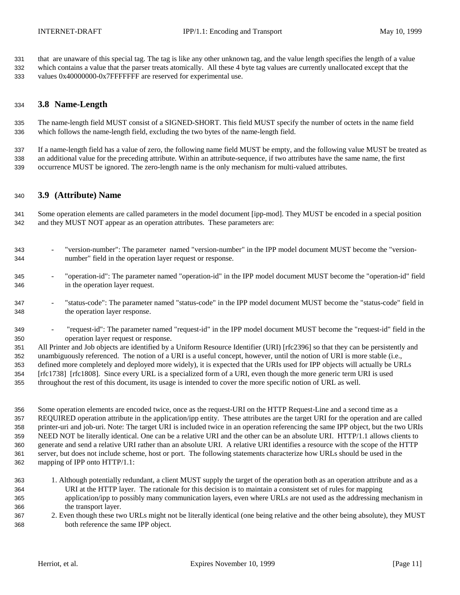that are unaware of this special tag. The tag is like any other unknown tag, and the value length specifies the length of a value

 which contains a value that the parser treats atomically. All these 4 byte tag values are currently unallocated except that the values 0x40000000-0x7FFFFFFF are reserved for experimental use.

### **3.8 Name-Length**

 The name-length field MUST consist of a SIGNED-SHORT. This field MUST specify the number of octets in the name field which follows the name-length field, excluding the two bytes of the name-length field.

 If a name-length field has a value of zero, the following name field MUST be empty, and the following value MUST be treated as an additional value for the preceding attribute. Within an attribute-sequence, if two attributes have the same name, the first occurrence MUST be ignored. The zero-length name is the only mechanism for multi-valued attributes.

#### **3.9 (Attribute) Name**

 Some operation elements are called parameters in the model document [ipp-mod]. They MUST be encoded in a special position and they MUST NOT appear as an operation attributes. These parameters are:

- "version-number": The parameter named "version-number" in the IPP model document MUST become the "version-number" field in the operation layer request or response.
- "operation-id": The parameter named "operation-id" in the IPP model document MUST become the "operation-id" field in the operation layer request.
- "status-code": The parameter named "status-code" in the IPP model document MUST become the "status-code" field in the operation layer response.
- "request-id": The parameter named "request-id" in the IPP model document MUST become the "request-id" field in the operation layer request or response.
- All Printer and Job objects are identified by a Uniform Resource Identifier (URI) [rfc2396] so that they can be persistently and unambiguously referenced. The notion of a URI is a useful concept, however, until the notion of URI is more stable (i.e., defined more completely and deployed more widely), it is expected that the URIs used for IPP objects will actually be URLs [rfc1738] [rfc1808]. Since every URL is a specialized form of a URI, even though the more generic term URI is used throughout the rest of this document, its usage is intended to cover the more specific notion of URL as well.
- Some operation elements are encoded twice, once as the request-URI on the HTTP Request-Line and a second time as a REQUIRED operation attribute in the application/ipp entity. These attributes are the target URI for the operation and are called printer-uri and job-uri. Note: The target URI is included twice in an operation referencing the same IPP object, but the two URIs NEED NOT be literally identical. One can be a relative URI and the other can be an absolute URI. HTTP/1.1 allows clients to generate and send a relative URI rather than an absolute URI. A relative URI identifies a resource with the scope of the HTTP server, but does not include scheme, host or port. The following statements characterize how URLs should be used in the mapping of IPP onto HTTP/1.1:
- 1. Although potentially redundant, a client MUST supply the target of the operation both as an operation attribute and as a URI at the HTTP layer. The rationale for this decision is to maintain a consistent set of rules for mapping application/ipp to possibly many communication layers, even where URLs are not used as the addressing mechanism in the transport layer.
- 2. Even though these two URLs might not be literally identical (one being relative and the other being absolute), they MUST both reference the same IPP object.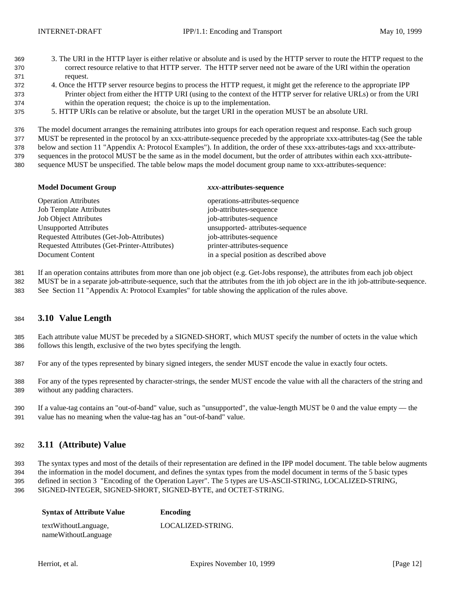- 3. The URI in the HTTP layer is either relative or absolute and is used by the HTTP server to route the HTTP request to the correct resource relative to that HTTP server. The HTTP server need not be aware of the URI within the operation request.
- 4. Once the HTTP server resource begins to process the HTTP request, it might get the reference to the appropriate IPP Printer object from either the HTTP URI (using to the context of the HTTP server for relative URLs) or from the URI within the operation request; the choice is up to the implementation.
- 5. HTTP URIs can be relative or absolute, but the target URI in the operation MUST be an absolute URI.

The model document arranges the remaining attributes into groups for each operation request and response. Each such group

MUST be represented in the protocol by an xxx-attribute-sequence preceded by the appropriate xxx-attributes-tag (See the table

 below and section 11 "Appendix A: Protocol Examples"). In addition, the order of these xxx-attributes-tags and xxx-attribute-sequences in the protocol MUST be the same as in the model document, but the order of attributes within each xxx-attribute-

sequence MUST be unspecified. The table below maps the model document group name to xxx-attributes-sequence:

#### **Model Document Group** *xxx***-attributes-sequence**

| <b>Operation Attributes</b>                   | operations-attributes-sequence           |
|-----------------------------------------------|------------------------------------------|
| <b>Job Template Attributes</b>                | job-attributes-sequence                  |
| <b>Job Object Attributes</b>                  | job-attributes-sequence                  |
| <b>Unsupported Attributes</b>                 | unsupported- attributes-sequence         |
| Requested Attributes (Get-Job-Attributes)     | job-attributes-sequence                  |
| Requested Attributes (Get-Printer-Attributes) | printer-attributes-sequence              |
| Document Content                              | in a special position as described above |

If an operation contains attributes from more than one job object (e.g. Get-Jobs response), the attributes from each job object

MUST be in a separate job-attribute-sequence, such that the attributes from the ith job object are in the ith job-attribute-sequence.

See Section 11 "Appendix A: Protocol Examples" for table showing the application of the rules above.

### **3.10 Value Length**

 Each attribute value MUST be preceded by a SIGNED-SHORT, which MUST specify the number of octets in the value which follows this length, exclusive of the two bytes specifying the length.

For any of the types represented by binary signed integers, the sender MUST encode the value in exactly four octets.

 For any of the types represented by character-strings, the sender MUST encode the value with all the characters of the string and without any padding characters.

 If a value-tag contains an "out-of-band" value, such as "unsupported", the value-length MUST be 0 and the value empty — the value has no meaning when the value-tag has an "out-of-band" value.

### **3.11 (Attribute) Value**

 The syntax types and most of the details of their representation are defined in the IPP model document. The table below augments the information in the model document, and defines the syntax types from the model document in terms of the 5 basic types defined in section 3 "Encoding of the Operation Layer". The 5 types are US-ASCII-STRING, LOCALIZED-STRING, SIGNED-INTEGER, SIGNED-SHORT, SIGNED-BYTE, and OCTET-STRING.

| <b>Syntax of Attribute Value</b> | Encoding          |
|----------------------------------|-------------------|
| textWithoutLanguage,             | LOCALIZED-STRING. |
| nameWithoutLanguage              |                   |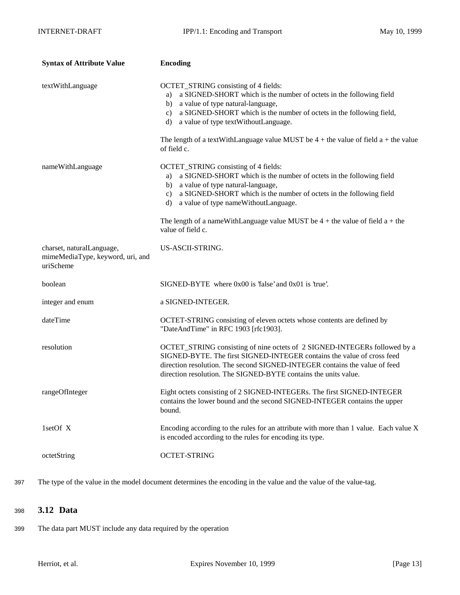| <b>Syntax of Attribute Value</b>                                           | <b>Encoding</b>                                                                                                                                                                                                                                                                                                                                                                                   |
|----------------------------------------------------------------------------|---------------------------------------------------------------------------------------------------------------------------------------------------------------------------------------------------------------------------------------------------------------------------------------------------------------------------------------------------------------------------------------------------|
| textWithLanguage                                                           | OCTET_STRING consisting of 4 fields:<br>a SIGNED-SHORT which is the number of octets in the following field<br>a)<br>a value of type natural-language,<br>b)<br>a SIGNED-SHORT which is the number of octets in the following field,<br>c)<br>a value of type textWithoutLanguage.<br>d)                                                                                                          |
|                                                                            | The length of a textWithLanguage value MUST be $4 +$ the value of field a + the value<br>of field c.                                                                                                                                                                                                                                                                                              |
| nameWithLanguage                                                           | OCTET_STRING consisting of 4 fields:<br>a SIGNED-SHORT which is the number of octets in the following field<br>a)<br>a value of type natural-language,<br>b)<br>a SIGNED-SHORT which is the number of octets in the following field<br>c)<br>a value of type nameWithoutLanguage.<br>d)<br>The length of a nameWithLanguage value MUST be $4 +$ the value of field $a +$ the<br>value of field c. |
| charset, naturalLanguage,<br>mimeMediaType, keyword, uri, and<br>uriScheme | US-ASCII-STRING.                                                                                                                                                                                                                                                                                                                                                                                  |
| boolean                                                                    | $SIGNED-BYTE$ where $0x00$ is 'false' and $0x01$ is 'true'.                                                                                                                                                                                                                                                                                                                                       |
| integer and enum                                                           | a SIGNED-INTEGER.                                                                                                                                                                                                                                                                                                                                                                                 |
| dateTime                                                                   | OCTET-STRING consisting of eleven octets whose contents are defined by<br>"DateAndTime" in RFC 1903 [rfc1903].                                                                                                                                                                                                                                                                                    |
| resolution                                                                 | OCTET_STRING consisting of nine octets of 2 SIGNED-INTEGERs followed by a<br>SIGNED-BYTE. The first SIGNED-INTEGER contains the value of cross feed<br>direction resolution. The second SIGNED-INTEGER contains the value of feed<br>direction resolution. The SIGNED-BYTE contains the units value.                                                                                              |
| rangeOfInteger                                                             | Eight octets consisting of 2 SIGNED-INTEGERs. The first SIGNED-INTEGER<br>contains the lower bound and the second SIGNED-INTEGER contains the upper<br>bound.                                                                                                                                                                                                                                     |
| 1setOf X                                                                   | Encoding according to the rules for an attribute with more than 1 value. Each value X<br>is encoded according to the rules for encoding its type.                                                                                                                                                                                                                                                 |
| octetString                                                                | <b>OCTET-STRING</b>                                                                                                                                                                                                                                                                                                                                                                               |

397 The type of the value in the model document determines the encoding in the value and the value of the value-tag.

### <sup>398</sup> **3.12 Data**

399 The data part MUST include any data required by the operation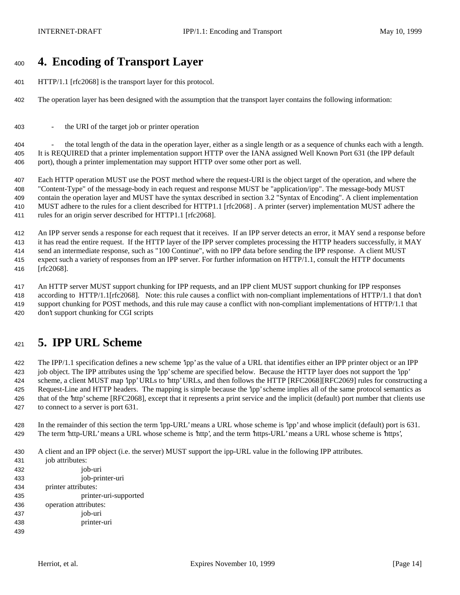# **4. Encoding of Transport Layer**

- HTTP/1.1 [rfc2068] is the transport layer for this protocol.
- The operation layer has been designed with the assumption that the transport layer contains the following information:
- the URI of the target job or printer operation

 - the total length of the data in the operation layer, either as a single length or as a sequence of chunks each with a length. It is REQUIRED that a printer implementation support HTTP over the IANA assigned Well Known Port 631 (the IPP default port), though a printer implementation may support HTTP over some other port as well.

 Each HTTP operation MUST use the POST method where the request-URI is the object target of the operation, and where the "Content-Type" of the message-body in each request and response MUST be "application/ipp". The message-body MUST contain the operation layer and MUST have the syntax described in section 3.2 "Syntax of Encoding". A client implementation MUST adhere to the rules for a client described for HTTP1.1 [rfc2068] . A printer (server) implementation MUST adhere the rules for an origin server described for HTTP1.1 [rfc2068].

 An IPP server sends a response for each request that it receives. If an IPP server detects an error, it MAY send a response before it has read the entire request. If the HTTP layer of the IPP server completes processing the HTTP headers successfully, it MAY send an intermediate response, such as "100 Continue", with no IPP data before sending the IPP response. A client MUST expect such a variety of responses from an IPP server. For further information on HTTP/1.1, consult the HTTP documents [rfc2068].

 An HTTP server MUST support chunking for IPP requests, and an IPP client MUST support chunking for IPP responses according to HTTP/1.1[rfc2068]. Note: this rule causes a conflict with non-compliant implementations of HTTP/1.1 that don't support chunking for POST methods, and this rule may cause a conflict with non-compliant implementations of HTTP/1.1 that don't support chunking for CGI scripts

# **5. IPP URL Scheme**

 The IPP/1.1 specification defines a new scheme 'ipp' as the value of a URL that identifies either an IPP printer object or an IPP job object. The IPP attributes using the 'ipp' scheme are specified below. Because the HTTP layer does not support the 'ipp' scheme, a client MUST map 'ipp' URLs to 'http' URLs, and then follows the HTTP [RFC2068][RFC2069] rules for constructing a Request-Line and HTTP headers. The mapping is simple because the 'ipp' scheme implies all of the same protocol semantics as that of the 'http' scheme [RFC2068], except that it represents a print service and the implicit (default) port number that clients use to connect to a server is port 631.

- In the remainder of this section the term 'ipp-URL' means a URL whose scheme is 'ipp' and whose implicit (default) port is 631. The term 'http-URL' means a URL whose scheme is 'http', and the term 'https-URL' means a URL whose scheme is 'https',
- A client and an IPP object (i.e. the server) MUST support the ipp-URL value in the following IPP attributes.
- 431 iob attributes: job-uri job-printer-uri printer attributes: printer-uri-supported operation attributes: job-uri printer-uri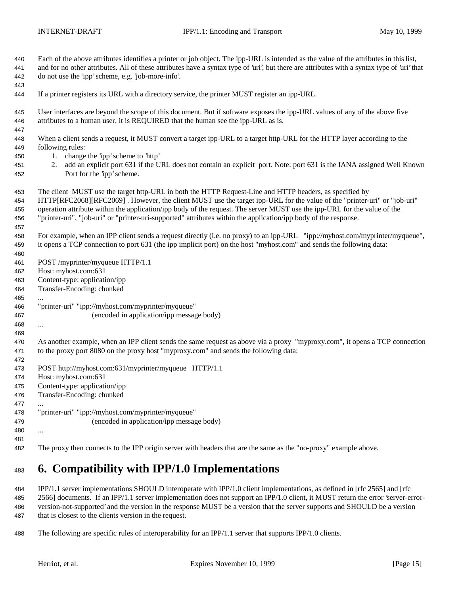| 440        | Each of the above attributes identifies a printer or job object. The ipp-URL is intended as the value of the attributes in this list,                     |
|------------|-----------------------------------------------------------------------------------------------------------------------------------------------------------|
| 441        | and for no other attributes. All of these attributes have a syntax type of 'uri', but there are attributes with a syntax type of 'uri' that               |
| 442        | do not use the 'ipp' scheme, e.g. 'job-more-info'.                                                                                                        |
| 443        |                                                                                                                                                           |
| 444        | If a printer registers its URL with a directory service, the printer MUST register an ipp-URL.                                                            |
| 445        | User interfaces are beyond the scope of this document. But if software exposes the ipp-URL values of any of the above five                                |
| 446        | attributes to a human user, it is REQUIRED that the human see the ipp-URL as is.                                                                          |
| 447        |                                                                                                                                                           |
| 448        | When a client sends a request, it MUST convert a target ipp-URL to a target http-URL for the HTTP layer according to the                                  |
| 449        | following rules:                                                                                                                                          |
| 450        | 1. change the 'ipp' scheme to 'http'                                                                                                                      |
| 451<br>452 | add an explicit port 631 if the URL does not contain an explicit port. Note: port 631 is the IANA assigned Well Known<br>2.<br>Port for the 'ipp' scheme. |
| 453        | The client MUST use the target http-URL in both the HTTP Request-Line and HTTP headers, as specified by                                                   |
| 454        | HTTP[RFC2068][RFC2069]. However, the client MUST use the target ipp-URL for the value of the "printer-uri" or "job-uri"                                   |
| 455        | operation attribute within the application/ipp body of the request. The server MUST use the ipp-URL for the value of the                                  |
| 456        | "printer-uri", "job-uri" or "printer-uri-supported" attributes within the application/ipp body of the response.                                           |
| 457        |                                                                                                                                                           |
| 458        | For example, when an IPP client sends a request directly (i.e. no proxy) to an ipp-URL "ipp://myhost.com/myprinter/myqueue",                              |
| 459        | it opens a TCP connection to port 631 (the ipp implicit port) on the host "myhost.com" and sends the following data:                                      |
| 460        |                                                                                                                                                           |
| 461        | POST /myprinter/myqueue HTTP/1.1                                                                                                                          |
| 462        | Host: myhost.com:631                                                                                                                                      |
| 463        | Content-type: application/ipp<br>Transfer-Encoding: chunked                                                                                               |
| 464<br>465 |                                                                                                                                                           |
| 466        | "printer-uri" "ipp://myhost.com/myprinter/myqueue"                                                                                                        |
| 467        | (encoded in application/ipp message body)                                                                                                                 |
| 468        |                                                                                                                                                           |
| 469        |                                                                                                                                                           |
| 470        | As another example, when an IPP client sends the same request as above via a proxy "myproxy.com", it opens a TCP connection                               |
| 471        | to the proxy port 8080 on the proxy host "myproxy.com" and sends the following data:                                                                      |
| 472        |                                                                                                                                                           |
| 473        | POST http://myhost.com:631/myprinter/myqueue HTTP/1.1                                                                                                     |
| 474        | Host: myhost.com:631                                                                                                                                      |
| 475        | Content-type: application/ipp                                                                                                                             |
| 476        | Transfer-Encoding: chunked                                                                                                                                |
| 477        |                                                                                                                                                           |
| 478        | "printer-uri" "ipp://myhost.com/myprinter/myqueue"                                                                                                        |
| 479        | (encoded in application/ipp message body)                                                                                                                 |
| 480        |                                                                                                                                                           |
| 481        |                                                                                                                                                           |
| 482        | The proxy then connects to the IPP origin server with headers that are the same as the "no-proxy" example above.                                          |

# **6. Compatibility with IPP/1.0 Implementations**

 IPP/1.1 server implementations SHOULD interoperate with IPP/1.0 client implementations, as defined in [rfc 2565] and [rfc 2566] documents. If an IPP/1.1 server implementation does not support an IPP/1.0 client, it MUST return the error 'server-error- version-not-supported' and the version in the response MUST be a version that the server supports and SHOULD be a version that is closest to the clients version in the request.

The following are specific rules of interoperability for an IPP/1.1 server that supports IPP/1.0 clients.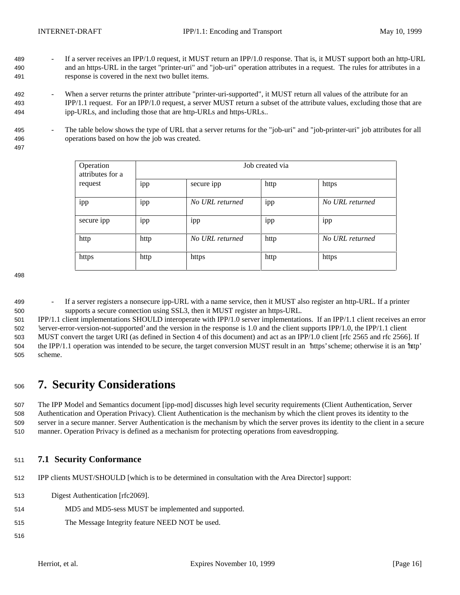- 489 If a server receives an IPP/1.0 request, it MUST return an IPP/1.0 response. That is, it MUST support both an http-URL and an https-URL in the target "printer-uri" and "job-uri" operation attributes in a request. The rules for attributes in a response is covered in the next two bullet items.
- 492 When a server returns the printer attribute "printer-uri-supported", it MUST return all values of the attribute for an IPP/1.1 request. For an IPP/1.0 request, a server MUST return a subset of the attribute values, excluding those that are ipp-URLs, and including those that are http-URLs and https-URLs..
- 495 The table below shows the type of URL that a server returns for the "job-uri" and "job-printer-uri" job attributes for all operations based on how the job was created.
- 

| Operation<br>attributes for a | Job created via |                 |          |                 |
|-------------------------------|-----------------|-----------------|----------|-----------------|
| request                       | $\cdot$<br>ipp  | secure ipp      | http     | https           |
| ipp                           | ipp             | No URL returned | ٠<br>ipp | No URL returned |
| secure ipp                    | ipp             | 1pp             | 1pp      | 1pp             |
| http                          | http            | No URL returned | http     | No URL returned |
| https                         | http            | https           | http     | https           |

 - If a server registers a nonsecure ipp-URL with a name service, then it MUST also register an http-URL. If a printer supports a secure connection using SSL3, then it MUST register an https-URL.

 IPP/1.1 client implementations SHOULD interoperate with IPP/1.0 server implementations. If an IPP/1.1 client receives an error 'server-error-version-not-supported' and the version in the response is 1.0 and the client supports IPP/1.0, the IPP/1.1 client MUST convert the target URI (as defined in Section 4 of this document) and act as an IPP/1.0 client [rfc 2565 and rfc 2566]. If the IPP/1.1 operation was intended to be secure, the target conversion MUST result in an 'https' scheme; otherwise it is an 'http' scheme.

# **7. Security Considerations**

 The IPP Model and Semantics document [ipp-mod] discusses high level security requirements (Client Authentication, Server Authentication and Operation Privacy). Client Authentication is the mechanism by which the client proves its identity to the server in a secure manner. Server Authentication is the mechanism by which the server proves its identity to the client in a secure manner. Operation Privacy is defined as a mechanism for protecting operations from eavesdropping.

- **7.1 Security Conformance**
- IPP clients MUST/SHOULD [which is to be determined in consultation with the Area Director] support:
- Digest Authentication [rfc2069].
- MD5 and MD5-sess MUST be implemented and supported.
- The Message Integrity feature NEED NOT be used.
-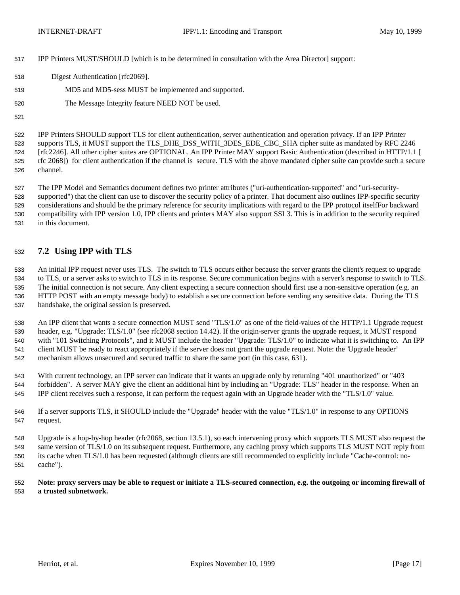- IPP Printers MUST/SHOULD [which is to be determined in consultation with the Area Director] support:
- Digest Authentication [rfc2069].
- MD5 and MD5-sess MUST be implemented and supported.
- The Message Integrity feature NEED NOT be used.
- 

 IPP Printers SHOULD support TLS for client authentication, server authentication and operation privacy. If an IPP Printer supports TLS, it MUST support the TLS\_DHE\_DSS\_WITH\_3DES\_EDE\_CBC\_SHA cipher suite as mandated by RFC 2246 [rfc2246]. All other cipher suites are OPTIONAL. An IPP Printer MAY support Basic Authentication (described in HTTP/1.1 [ rfc 2068]) for client authentication if the channel is secure. TLS with the above mandated cipher suite can provide such a secure channel.

 The IPP Model and Semantics document defines two printer attributes ("uri-authentication-supported" and "uri-security- supported") that the client can use to discover the security policy of a printer. That document also outlines IPP-specific security considerations and should be the primary reference for security implications with regard to the IPP protocol itselfFor backward compatibility with IPP version 1.0, IPP clients and printers MAY also support SSL3. This is in addition to the security required in this document.

### **7.2 Using IPP with TLS**

 An initial IPP request never uses TLS. The switch to TLS occurs either because the server grants the client's request to upgrade to TLS, or a server asks to switch to TLS in its response. Secure communication begins with a server's response to switch to TLS. The initial connection is not secure. Any client expecting a secure connection should first use a non-sensitive operation (e.g. an HTTP POST with an empty message body) to establish a secure connection before sending any sensitive data. During the TLS handshake, the original session is preserved.

 An IPP client that wants a secure connection MUST send "TLS/1.0" as one of the field-values of the HTTP/1.1 Upgrade request header, e.g. "Upgrade: TLS/1.0" (see rfc2068 section 14.42). If the origin-server grants the upgrade request, it MUST respond with "101 Switching Protocols", and it MUST include the header "Upgrade: TLS/1.0" to indicate what it is switching to. An IPP client MUST be ready to react appropriately if the server does not grant the upgrade request. Note: the 'Upgrade header' mechanism allows unsecured and secured traffic to share the same port (in this case, 631).

 With current technology, an IPP server can indicate that it wants an upgrade only by returning "401 unauthorized" or "403 forbidden". A server MAY give the client an additional hint by including an "Upgrade: TLS" header in the response. When an IPP client receives such a response, it can perform the request again with an Upgrade header with the "TLS/1.0" value.

 If a server supports TLS, it SHOULD include the "Upgrade" header with the value "TLS/1.0" in response to any OPTIONS request.

 Upgrade is a hop-by-hop header (rfc2068, section 13.5.1), so each intervening proxy which supports TLS MUST also request the same version of TLS/1.0 on its subsequent request. Furthermore, any caching proxy which supports TLS MUST NOT reply from its cache when TLS/1.0 has been requested (although clients are still recommended to explicitly include "Cache-control: no-cache").

 **Note: proxy servers may be able to request or initiate a TLS-secured connection, e.g. the outgoing or incoming firewall of a trusted subnetwork.**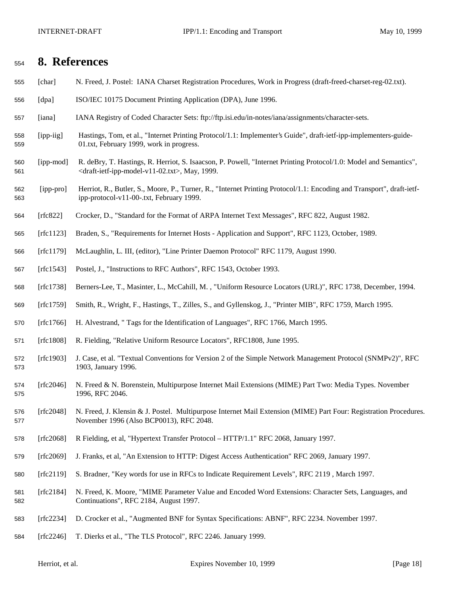## **8. References**

- [char] N. Freed, J. Postel: IANA Charset Registration Procedures, Work in Progress (draft-freed-charset-reg-02.txt).
- [dpa] ISO/IEC 10175 Document Printing Application (DPA), June 1996.
- [iana] IANA Registry of Coded Character Sets: ftp://ftp.isi.edu/in-notes/iana/assignments/character-sets.
- [ipp-iig] Hastings, Tom, et al., "Internet Printing Protocol/1.1: Implementer's Guide", draft-ietf-ipp-implementers-guide-01.txt, February 1999, work in progress.
- [ipp-mod] R. deBry, T. Hastings, R. Herriot, S. Isaacson, P. Powell, "Internet Printing Protocol/1.0: Model and Semantics", <draft-ietf-ipp-model-v11-02.txt>, May, 1999.
- [ipp-pro] Herriot, R., Butler, S., Moore, P., Turner, R., "Internet Printing Protocol/1.1: Encoding and Transport", draft-ietf-ipp-protocol-v11-00-.txt, February 1999.
- [rfc822] Crocker, D., "Standard for the Format of ARPA Internet Text Messages", RFC 822, August 1982.
- [rfc1123] Braden, S., "Requirements for Internet Hosts Application and Support", RFC 1123, October, 1989.
- [rfc1179] McLaughlin, L. III, (editor), "Line Printer Daemon Protocol" RFC 1179, August 1990.
- [rfc1543] Postel, J., "Instructions to RFC Authors", RFC 1543, October 1993.
- [rfc1738] Berners-Lee, T., Masinter, L., McCahill, M. , "Uniform Resource Locators (URL)", RFC 1738, December, 1994.
- [rfc1759] Smith, R., Wright, F., Hastings, T., Zilles, S., and Gyllenskog, J., "Printer MIB", RFC 1759, March 1995.
- [rfc1766] H. Alvestrand, " Tags for the Identification of Languages", RFC 1766, March 1995.
- [rfc1808] R. Fielding, "Relative Uniform Resource Locators", RFC1808, June 1995.
- [rfc1903] J. Case, et al. "Textual Conventions for Version 2 of the Simple Network Management Protocol (SNMPv2)", RFC 1903, January 1996.
- [rfc2046] N. Freed & N. Borenstein, Multipurpose Internet Mail Extensions (MIME) Part Two: Media Types. November 1996, RFC 2046.
- [rfc2048] N. Freed, J. Klensin & J. Postel. Multipurpose Internet Mail Extension (MIME) Part Four: Registration Procedures. November 1996 (Also BCP0013), RFC 2048.
- [rfc2068] R Fielding, et al, "Hypertext Transfer Protocol HTTP/1.1" RFC 2068, January 1997.
- [rfc2069] J. Franks, et al, "An Extension to HTTP: Digest Access Authentication" RFC 2069, January 1997.
- [rfc2119] S. Bradner, "Key words for use in RFCs to Indicate Requirement Levels", RFC 2119 , March 1997.
- [rfc2184] N. Freed, K. Moore, "MIME Parameter Value and Encoded Word Extensions: Character Sets, Languages, and Continuations", RFC 2184, August 1997.
- [rfc2234] D. Crocker et al., "Augmented BNF for Syntax Specifications: ABNF", RFC 2234. November 1997.
- [rfc2246] T. Dierks et al., "The TLS Protocol", RFC 2246. January 1999.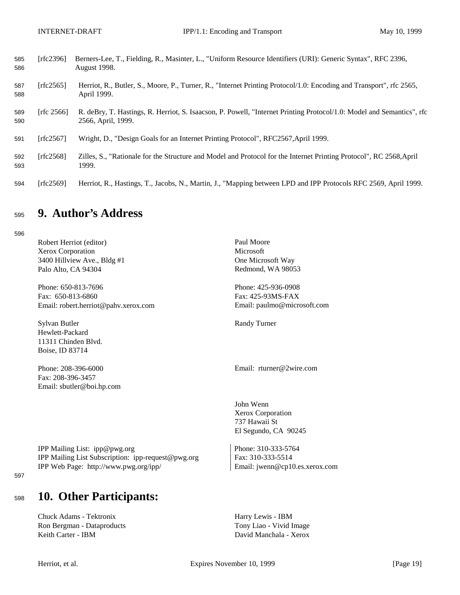| 585<br>586 | [rfc2396]     | Berners-Lee, T., Fielding, R., Masinter, L., "Uniform Resource Identifiers (URI): Generic Syntax", RFC 2396,<br><b>August 1998.</b>         |
|------------|---------------|---------------------------------------------------------------------------------------------------------------------------------------------|
| 587<br>588 | [ $rfc2565$ ] | Herriot, R., Butler, S., Moore, P., Turner, R., "Internet Printing Protocol/1.0: Encoding and Transport", rfc 2565,<br>April 1999.          |
| 589<br>590 | [rfc $2566$ ] | R. deBry, T. Hastings, R. Herriot, S. Isaacson, P. Powell, "Internet Printing Protocol/1.0: Model and Semantics", rfc<br>2566, April, 1999. |
| 591        | [rfc $2567$ ] | Wright, D., "Design Goals for an Internet Printing Protocol", RFC2567, April 1999.                                                          |
| 592<br>593 | [ $rfc2568$ ] | Zilles, S., "Rationale for the Structure and Model and Protocol for the Internet Printing Protocol", RC 2568, April<br>1999.                |
| 594        | [rfc2569]     | Herriot, R., Hastings, T., Jacobs, N., Martin, J., "Mapping between LPD and IPP Protocols RFC 2569, April 1999.                             |

# <sup>595</sup> **9. Author's Address**

596

Robert Herriot (editor) Paul Moore Xerox Corporation Microsoft 3400 Hillview Ave., Bldg #1 One Microsoft Way Palo Alto, CA 94304 Redmond, WA 98053

Phone: 650-813-7696 Phone: 425-936-0908 Fax: 650-813-6860 Fax: 425-93MS-FAX Email: robert.herriot@pahv.xerox.com Email: paulmo@microsoft.com

Sylvan Butler Randy Turner Hewlett-Packard 11311 Chinden Blvd. Boise, ID 83714

Fax: 208-396-3457 Email: sbutler@boi.hp.com

Phone: 208-396-6000 Email: rturner@2wire.com

John Wenn Xerox Corporation 737 Hawaii St El Segundo, CA 90245

IPP Mailing List: ipp@pwg.org Phone: 310-333-5764 IPP Mailing List Subscription: ipp-request@pwg.org Fax: 310-333-5514 IPP Web Page: http://www.pwg.org/ipp/ Email: jwenn@cp10.es.xerox.com

#### 597

# <sup>598</sup> **10. Other Participants:**

Chuck Adams - Tektronix Harry Lewis - IBM Ron Bergman - Dataproducts Tony Liao - Vivid Image Keith Carter - IBM David Manchala - Xerox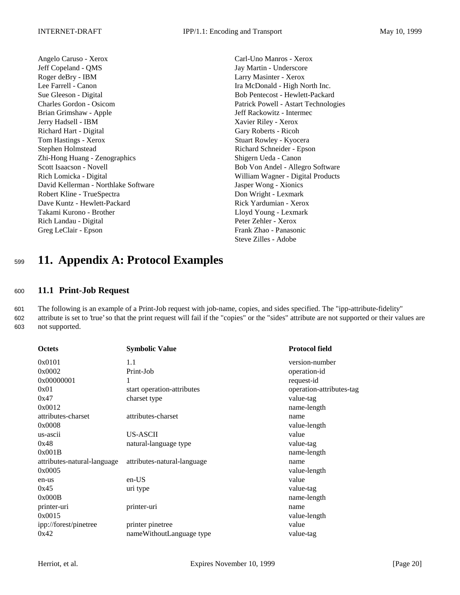Angelo Caruso - Xerox Carl-Uno Manros - Xerox Jeff Copeland - QMS Jay Martin - Underscore Roger deBry - IBM Larry Masinter - Xerox Lee Farrell - Canon Ira McDonald - High North Inc. Sue Gleeson - Digital Bob Pentecost - Hewlett-Packard Charles Gordon - Osicom Patrick Powell - Astart Technologies Brian Grimshaw - Apple Jeff Rackowitz - Intermec Jerry Hadsell - IBM Xavier Riley - Xerox Richard Hart - Digital Gary Roberts - Ricoh Tom Hastings - Xerox Stuart Rowley - Kyocera Stephen Holmstead Richard Schneider - Epson Zhi-Hong Huang - Zenographics Shigern Ueda - Canon Scott Isaacson - Novell Bob Von Andel - Allegro Software Rich Lomicka - Digital William Wagner - Digital Products David Kellerman - Northlake Software Jasper Wong - Xionics Robert Kline - TrueSpectra Don Wright - Lexmark Dave Kuntz - Hewlett-Packard **Rick Yardumian - Xerox** Rick Yardumian - Xerox Takami Kurono - Brother Lloyd Young - Lexmark Rich Landau - Digital Peter Zehler - Xerox Greg LeClair - Epson Frank Zhao - Panasonic

Steve Zilles - Adobe

# <sup>599</sup> **11. Appendix A: Protocol Examples**

### <sup>600</sup> **11.1 Print-Job Request**

601 The following is an example of a Print-Job request with job-name, copies, and sides specified. The "ipp-attribute-fidelity" 602 attribute is set to 'true' so that the print request will fail if the "copies" or the "sides" attribute are not supported or their values are 603 not supported.

| <b>Octets</b>               | <b>Symbolic Value</b>       | <b>Protocol field</b>    |
|-----------------------------|-----------------------------|--------------------------|
| 0x0101                      | 1.1                         | version-number           |
| 0x0002                      | Print-Job                   | operation-id             |
| 0x00000001                  | 1                           | request-id               |
| 0x01                        | start operation-attributes  | operation-attributes-tag |
| 0x47                        | charset type                | value-tag                |
| 0x0012                      |                             | name-length              |
| attributes-charset          | attributes-charset          | name                     |
| 0x0008                      |                             | value-length             |
| us-ascii                    | <b>US-ASCII</b>             | value                    |
| 0x48                        | natural-language type       | value-tag                |
| 0x001B                      |                             | name-length              |
| attributes-natural-language | attributes-natural-language | name                     |
| 0x0005                      |                             | value-length             |
| en-us                       | $en-US$                     | value                    |
| 0x45                        | uri type                    | value-tag                |
| 0x000B                      |                             | name-length              |
| printer-uri                 | printer-uri                 | name                     |
| 0x0015                      |                             | value-length             |
| ipp://forest/pinetree       | printer pinetree            | value                    |
| 0x42                        | nameWithoutLanguage type    | value-tag                |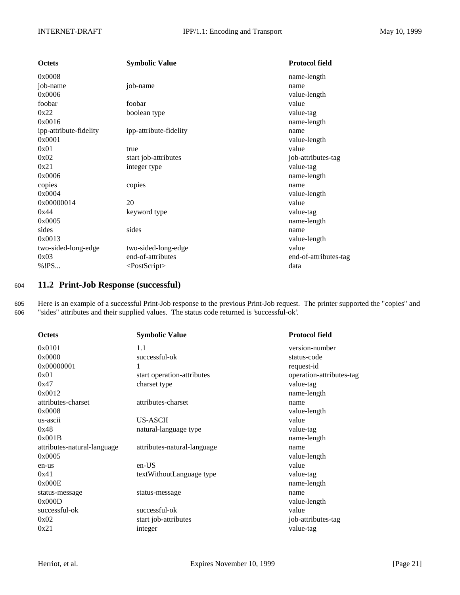| <b>Octets</b>          | <b>Symbolic Value</b>  | <b>Protocol field</b> |
|------------------------|------------------------|-----------------------|
| 0x0008                 |                        | name-length           |
| job-name               | job-name               | name                  |
| 0x0006                 |                        | value-length          |
| foobar                 | foobar                 | value                 |
| 0x22                   | boolean type           | value-tag             |
| 0x0016                 |                        | name-length           |
| ipp-attribute-fidelity | ipp-attribute-fidelity | name                  |
| 0x0001                 |                        | value-length          |
| 0x01                   | true                   | value                 |
| 0x02                   | start job-attributes   | job-attributes-tag    |
| 0x21                   | integer type           | value-tag             |
| 0x0006                 |                        | name-length           |
| copies                 | copies                 | name                  |
| 0x0004                 |                        | value-length          |
| 0x00000014             | 20                     | value                 |
| 0x44                   | keyword type           | value-tag             |
| 0x0005                 |                        | name-length           |
| sides                  | sides                  | name                  |
| 0x0013                 |                        | value-length          |
| two-sided-long-edge    | two-sided-long-edge    | value                 |
| 0x03                   | end-of-attributes      | end-of-attributes-tag |
| % ! PS                 | $<$ PostScript $>$     | data                  |

### <sup>604</sup> **11.2 Print-Job Response (successful)**

605 Here is an example of a successful Print-Job response to the previous Print-Job request. The printer supported the "copies" and 606 "sides" attributes and their supplied values. The status code returned is 'successful-ok'.

| <b>Octets</b>               | <b>Symbolic Value</b>       | <b>Protocol field</b>    |
|-----------------------------|-----------------------------|--------------------------|
| 0x0101                      | 1.1                         | version-number           |
| 0x0000                      | successful-ok               | status-code              |
| 0x00000001                  | 1                           | request-id               |
| 0x01                        | start operation-attributes  | operation-attributes-tag |
| 0x47                        | charset type                | value-tag                |
| 0x0012                      |                             | name-length              |
| attributes-charset          | attributes-charset          | name                     |
| 0x0008                      |                             | value-length             |
| us-ascii                    | <b>US-ASCII</b>             | value                    |
| 0x48                        | natural-language type       | value-tag                |
| 0x001B                      |                             | name-length              |
| attributes-natural-language | attributes-natural-language | name                     |
| 0x0005                      |                             | value-length             |
| en-us                       | $en-US$                     | value                    |
| 0x41                        | textWithoutLanguage type    | value-tag                |
| 0x000E                      |                             | name-length              |
| status-message              | status-message              | name                     |
| 0x000D                      |                             | value-length             |
| successful-ok               | successful-ok               | value                    |
| 0x02                        | start job-attributes        | job-attributes-tag       |
| 0x21                        | integer                     | value-tag                |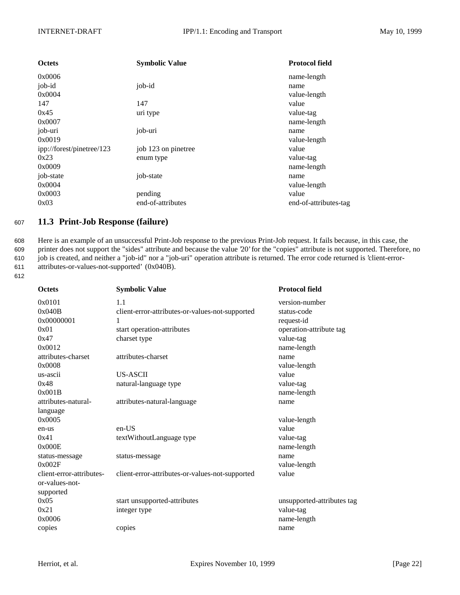| <b>Octets</b>             | <b>Symbolic Value</b> | <b>Protocol field</b> |
|---------------------------|-----------------------|-----------------------|
| 0x0006                    |                       | name-length           |
| job-id                    | job-id                | name                  |
| 0x0004                    |                       | value-length          |
| 147                       | 147                   | value                 |
| 0x45                      | uri type              | value-tag             |
| 0x0007                    |                       | name-length           |
| job-uri                   | job-uri               | name                  |
| 0x0019                    |                       | value-length          |
| ipp://forest/pinetree/123 | job 123 on pinetree   | value                 |
| 0x23                      | enum type             | value-tag             |
| 0x0009                    |                       | name-length           |
| job-state                 | job-state             | name                  |
| 0x0004                    |                       | value-length          |
| 0x0003                    | pending               | value                 |
| 0x03                      | end-of-attributes     | end-of-attributes-tag |

### <sup>607</sup> **11.3 Print-Job Response (failure)**

 Here is an example of an unsuccessful Print-Job response to the previous Print-Job request. It fails because, in this case, the printer does not support the "sides" attribute and because the value '20' for the "copies" attribute is not supported. Therefore, no job is created, and neither a "job-id" nor a "job-uri" operation attribute is returned. The error code returned is 'client-error-attributes-or-values-not-supported' (0x040B).

612

| <b>Octets</b>            | <b>Symbolic Value</b>                           | <b>Protocol field</b>      |
|--------------------------|-------------------------------------------------|----------------------------|
| 0x0101                   | 1.1                                             | version-number             |
| 0x040B                   | client-error-attributes-or-values-not-supported | status-code                |
| 0x00000001               | 1                                               | request-id                 |
| 0x01                     | start operation-attributes                      | operation-attribute tag    |
| 0x47                     | charset type                                    | value-tag                  |
| 0x0012                   |                                                 | name-length                |
| attributes-charset       | attributes-charset                              | name                       |
| 0x0008                   |                                                 | value-length               |
| us-ascii                 | <b>US-ASCII</b>                                 | value                      |
| 0x48                     | natural-language type                           | value-tag                  |
| 0x001B                   |                                                 | name-length                |
| attributes-natural-      | attributes-natural-language                     | name                       |
| language                 |                                                 |                            |
| 0x0005                   |                                                 | value-length               |
| en-us                    | en-US                                           | value                      |
| 0x41                     | textWithoutLanguage type                        | value-tag                  |
| 0x000E                   |                                                 | name-length                |
| status-message           | status-message                                  | name                       |
| 0x002F                   |                                                 | value-length               |
| client-error-attributes- | client-error-attributes-or-values-not-supported | value                      |
| or-values-not-           |                                                 |                            |
| supported                |                                                 |                            |
| 0x05                     | start unsupported-attributes                    | unsupported-attributes tag |
| 0x21                     | integer type                                    | value-tag                  |
| 0x0006                   |                                                 | name-length                |
| copies                   | copies                                          | name                       |
|                          |                                                 |                            |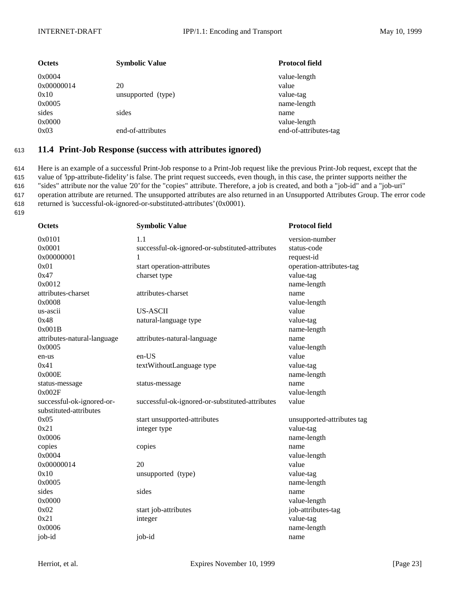| <b>Octets</b>                          | <b>Symbolic Value</b>      | <b>Protocol field</b>                             |
|----------------------------------------|----------------------------|---------------------------------------------------|
| 0x0004<br>0x00000014<br>0x10<br>0x0005 | 20<br>unsupported (type)   | value-length<br>value<br>value-tag<br>name-length |
| sides<br>0x0000<br>0x03                | sides<br>end-of-attributes | name<br>value-length<br>end-of-attributes-tag     |

### <sup>613</sup> **11.4 Print-Job Response (success with attributes ignored)**

 Here is an example of a successful Print-Job response to a Print-Job request like the previous Print-Job request, except that the value of 'ipp-attribute-fidelity' is false. The print request succeeds, even though, in this case, the printer supports neither the "sides" attribute nor the value '20' for the "copies" attribute. Therefore, a job is created, and both a "job-id" and a "job-uri" operation attribute are returned. The unsupported attributes are also returned in an Unsupported Attributes Group. The error code returned is 'successful-ok-ignored-or-substituted-attributes' (0x0001). 619

| <b>Octets</b>               | <b>Symbolic Value</b>                           | <b>Protocol field</b>      |
|-----------------------------|-------------------------------------------------|----------------------------|
| 0x0101                      | 1.1                                             | version-number             |
| 0x0001                      | successful-ok-ignored-or-substituted-attributes | status-code                |
| 0x00000001                  | 1                                               | request-id                 |
| 0x01                        | start operation-attributes                      | operation-attributes-tag   |
| 0x47                        | charset type                                    | value-tag                  |
| 0x0012                      |                                                 | name-length                |
| attributes-charset          | attributes-charset                              | name                       |
| 0x0008                      |                                                 | value-length               |
| us-ascii                    | <b>US-ASCII</b>                                 | value                      |
| 0x48                        | natural-language type                           | value-tag                  |
| 0x001B                      |                                                 | name-length                |
| attributes-natural-language | attributes-natural-language                     | name                       |
| 0x0005                      |                                                 | value-length               |
| en-us                       | en-US                                           | value                      |
| 0x41                        | textWithoutLanguage type                        | value-tag                  |
| 0x000E                      |                                                 | name-length                |
| status-message              | status-message                                  | name                       |
| 0x002F                      |                                                 | value-length               |
| successful-ok-ignored-or-   | successful-ok-ignored-or-substituted-attributes | value                      |
| substituted-attributes      |                                                 |                            |
| 0x05                        | start unsupported-attributes                    | unsupported-attributes tag |
| 0x21                        | integer type                                    | value-tag                  |
| 0x0006                      |                                                 | name-length                |
| copies                      | copies                                          | name                       |
| 0x0004                      |                                                 | value-length               |
| 0x00000014                  | 20                                              | value                      |
| 0x10                        | unsupported (type)                              | value-tag                  |
| 0x0005                      |                                                 | name-length                |
| sides                       | sides                                           | name                       |
| 0x0000                      |                                                 | value-length               |
| 0x02                        | start job-attributes                            | job-attributes-tag         |
| 0x21                        | integer                                         | value-tag                  |
| 0x0006                      |                                                 | name-length                |
| job-id                      | job-id                                          | name                       |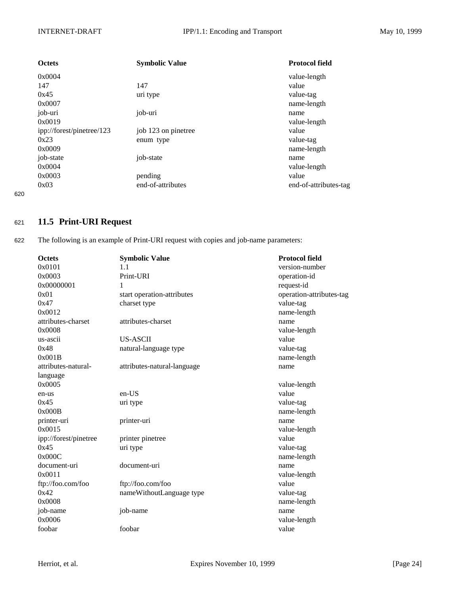| <b>Octets</b>             | <b>Symbolic Value</b> | <b>Protocol field</b> |
|---------------------------|-----------------------|-----------------------|
| 0x0004                    |                       | value-length          |
| 147                       | 147                   | value                 |
| 0x45                      | uri type              | value-tag             |
| 0x0007                    |                       | name-length           |
| job-uri                   | job-uri               | name                  |
| 0x0019                    |                       | value-length          |
| ipp://forest/pinetree/123 | job 123 on pinetree   | value                 |
| 0x23                      | enum type             | value-tag             |
| 0x0009                    |                       | name-length           |
| job-state                 | job-state             | name                  |
| 0x0004                    |                       | value-length          |
| 0x0003                    | pending               | value                 |
| 0x03                      | end-of-attributes     | end-of-attributes-tag |
|                           |                       |                       |

620

### <sup>621</sup> **11.5 Print-URI Request**

622 The following is an example of Print-URI request with copies and job-name parameters:

| <b>Octets</b>         | <b>Symbolic Value</b>       | <b>Protocol field</b>    |
|-----------------------|-----------------------------|--------------------------|
| 0x0101                | 1.1                         | version-number           |
| 0x0003                | Print-URI                   | operation-id             |
| 0x00000001            | 1                           | request-id               |
| 0x01                  | start operation-attributes  | operation-attributes-tag |
| 0x47                  | charset type                | value-tag                |
| 0x0012                |                             | name-length              |
| attributes-charset    | attributes-charset          | name                     |
| 0x0008                |                             | value-length             |
| us-ascii              | <b>US-ASCII</b>             | value                    |
| 0x48                  | natural-language type       | value-tag                |
| 0x001B                |                             | name-length              |
| attributes-natural-   | attributes-natural-language | name                     |
| language              |                             |                          |
| 0x0005                |                             | value-length             |
| en-us                 | en-US                       | value                    |
| 0x45                  | uri type                    | value-tag                |
| 0x000B                |                             | name-length              |
| printer-uri           | printer-uri                 | name                     |
| 0x0015                |                             | value-length             |
| ipp://forest/pinetree | printer pinetree            | value                    |
| 0x45                  | uri type                    | value-tag                |
| 0x000C                |                             | name-length              |
| document-uri          | document-uri                | name                     |
| 0x0011                |                             | value-length             |
| ftp://foo.com/foo     | ftp://foo.com/foo           | value                    |
| 0x42                  | nameWithoutLanguage type    | value-tag                |
| 0x0008                |                             | name-length              |
| job-name              | job-name                    | name                     |
| 0x0006                |                             | value-length             |
| foobar                | foobar                      | value                    |
|                       |                             |                          |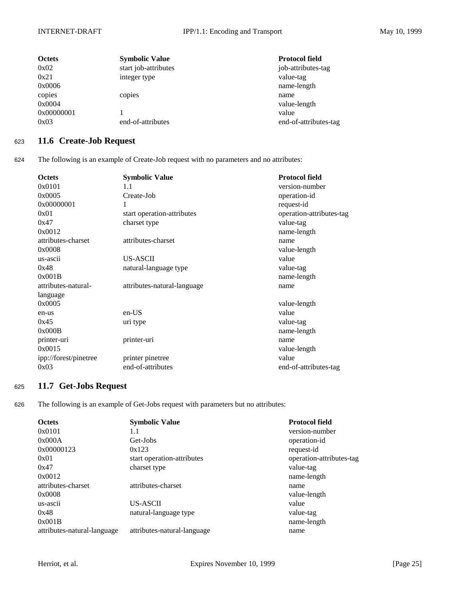| <b>Octets</b> | <b>Symbolic Value</b> | <b>Protocol field</b> |
|---------------|-----------------------|-----------------------|
| 0x02          | start job-attributes  | job-attributes-tag    |
| 0x21          | integer type          | value-tag             |
| 0x0006        |                       | name-length           |
| copies        | copies                | name                  |
| 0x0004        |                       | value-length          |
| 0x00000001    |                       | value                 |
| 0x03          | end-of-attributes     | end-of-attributes-tag |

### <sup>623</sup> **11.6 Create-Job Request**

624 The following is an example of Create-Job request with no parameters and no attributes:

| <b>Octets</b>         | <b>Symbolic Value</b>       | <b>Protocol field</b>    |
|-----------------------|-----------------------------|--------------------------|
| 0x0101                | 1.1                         | version-number           |
| 0x0005                | Create-Job                  | operation-id             |
| 0x00000001            | 1                           | request-id               |
| 0x01                  | start operation-attributes  | operation-attributes-tag |
| 0x47                  | charset type                | value-tag                |
| 0x0012                |                             | name-length              |
| attributes-charset    | attributes-charset          | name                     |
| 0x0008                |                             | value-length             |
| us-ascii              | US-ASCII                    | value                    |
| 0x48                  | natural-language type       | value-tag                |
| 0x001B                |                             | name-length              |
| attributes-natural-   | attributes-natural-language | name                     |
| language              |                             |                          |
| 0x0005                |                             | value-length             |
| en-us                 | en-US                       | value                    |
| 0x45                  | uri type                    | value-tag                |
| 0x000B                |                             | name-length              |
| printer-uri           | printer-uri                 | name                     |
| 0x0015                |                             | value-length             |
| ipp://forest/pinetree | printer pinetree            | value                    |
| 0x03                  | end-of-attributes           | end-of-attributes-tag    |

### <sup>625</sup> **11.7 Get-Jobs Request**

626 The following is an example of Get-Jobs request with parameters but no attributes:

| <b>Octets</b>               | <b>Symbolic Value</b>       | <b>Protocol field</b>    |
|-----------------------------|-----------------------------|--------------------------|
| 0x0101                      | 1.1                         | version-number           |
| 0x000A                      | Get-Jobs                    | operation-id             |
| 0x00000123                  | 0x123                       | request-id               |
| 0x01                        | start operation-attributes  | operation-attributes-tag |
| 0x47                        | charset type                | value-tag                |
| 0x0012                      |                             | name-length              |
| attributes-charset          | attributes-charset          | name                     |
| 0x0008                      |                             | value-length             |
| us-ascii                    | US-ASCII                    | value                    |
| 0x48                        | natural-language type       | value-tag                |
| 0x001B                      |                             | name-length              |
| attributes-natural-language | attributes-natural-language | name                     |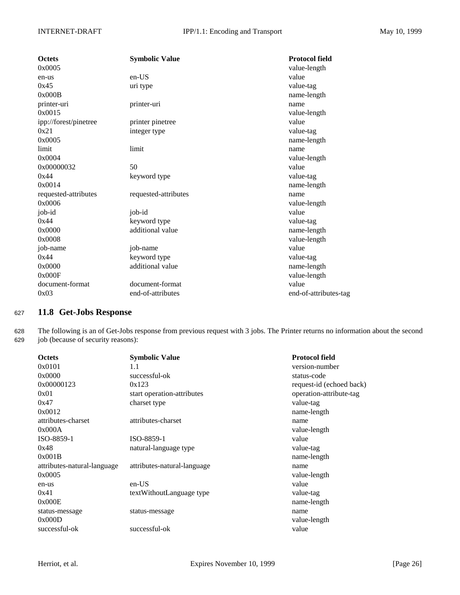| <b>Octets</b>         | <b>Symbolic Value</b> | <b>Protocol field</b> |
|-----------------------|-----------------------|-----------------------|
| 0x0005                |                       | value-length          |
| en-us                 | $en-US$               | value                 |
| 0x45                  | uri type              | value-tag             |
| 0x000B                |                       | name-length           |
| printer-uri           | printer-uri           | name                  |
| 0x0015                |                       | value-length          |
| ipp://forest/pinetree | printer pinetree      | value                 |
| 0x21                  | integer type          | value-tag             |
| 0x0005                |                       | name-length           |
| limit                 | limit                 | name                  |
| 0x0004                |                       | value-length          |
| 0x00000032            | 50                    | value                 |
| 0x44                  | keyword type          | value-tag             |
| 0x0014                |                       | name-length           |
| requested-attributes  | requested-attributes  | name                  |
| 0x0006                |                       | value-length          |
| job-id                | job-id                | value                 |
| 0x44                  | keyword type          | value-tag             |
| 0x0000                | additional value      | name-length           |
| 0x0008                |                       | value-length          |
| job-name              | job-name              | value                 |
| 0x44                  | keyword type          | value-tag             |
| 0x0000                | additional value      | name-length           |
| 0x000F                |                       | value-length          |
| document-format       | document-format       | value                 |
| 0x03                  | end-of-attributes     | end-of-attributes-tag |

### <sup>627</sup> **11.8 Get-Jobs Response**

628 The following is an of Get-Jobs response from previous request with 3 jobs. The Printer returns no information about the second 629 job (because of security reasons):

| <b>Octets</b>               | <b>Symbolic Value</b>       | <b>Protocol field</b>    |
|-----------------------------|-----------------------------|--------------------------|
| 0x0101                      | 1.1                         | version-number           |
| 0x0000                      | successful-ok               | status-code              |
| 0x00000123                  | 0x123                       | request-id (echoed back) |
| 0x01                        | start operation-attributes  | operation-attribute-tag  |
| 0x47                        | charset type                | value-tag                |
| 0x0012                      |                             | name-length              |
| attributes-charset          | attributes-charset          | name                     |
| 0x000A                      |                             | value-length             |
| ISO-8859-1                  | ISO-8859-1                  | value                    |
| 0x48                        | natural-language type       | value-tag                |
| 0x001B                      |                             | name-length              |
| attributes-natural-language | attributes-natural-language | name                     |
| 0x0005                      |                             | value-length             |
| en-us                       | en-US                       | value                    |
| 0x41                        | textWithoutLanguage type    | value-tag                |
| 0x000E                      |                             | name-length              |
| status-message              | status-message              | name                     |
| 0x000D                      |                             | value-length             |
| successful-ok               | successful-ok               | value                    |
|                             |                             |                          |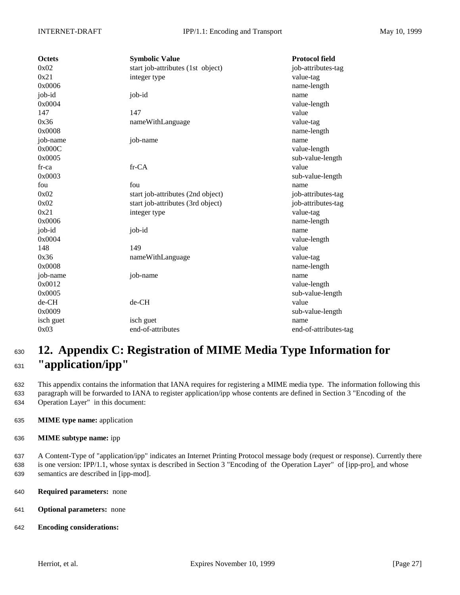| <b>Octets</b> | <b>Symbolic Value</b>             | <b>Protocol field</b> |
|---------------|-----------------------------------|-----------------------|
| 0x02          | start job-attributes (1st object) | job-attributes-tag    |
| 0x21          | integer type                      | value-tag             |
| 0x0006        |                                   | name-length           |
| job-id        | job-id                            | name                  |
| 0x0004        |                                   | value-length          |
| 147           | 147                               | value                 |
| 0x36          | nameWithLanguage                  | value-tag             |
| 0x0008        |                                   | name-length           |
| job-name      | job-name                          | name                  |
| 0x000C        |                                   | value-length          |
| 0x0005        |                                   | sub-value-length      |
| $fr-ca$       | fr-CA                             | value                 |
| 0x0003        |                                   | sub-value-length      |
| fou           | fou                               | name                  |
| 0x02          | start job-attributes (2nd object) | job-attributes-tag    |
| 0x02          | start job-attributes (3rd object) | job-attributes-tag    |
| 0x21          | integer type                      | value-tag             |
| 0x0006        |                                   | name-length           |
| job-id        | job-id                            | name                  |
| 0x0004        |                                   | value-length          |
| 148           | 149                               | value                 |
| 0x36          | nameWithLanguage                  | value-tag             |
| 0x0008        |                                   | name-length           |
| job-name      | job-name                          | name                  |
| 0x0012        |                                   | value-length          |
| 0x0005        |                                   | sub-value-length      |
| de-CH         | de-CH                             | value                 |
| 0x0009        |                                   | sub-value-length      |
| isch guet     | isch guet                         | name                  |
| 0x03          | end-of-attributes                 | end-of-attributes-tag |

# <sup>630</sup> **12. Appendix C: Registration of MIME Media Type Information for** <sup>631</sup> **"application/ipp"**

632 This appendix contains the information that IANA requires for registering a MIME media type. The information following this 633 paragraph will be forwarded to IANA to register application/ipp whose contents are defined in Section 3 "Encoding of the 634 Operation Layer" in this document:

- 635 **MIME type name:** application
- 636 **MIME subtype name:** ipp

637 A Content-Type of "application/ipp" indicates an Internet Printing Protocol message body (request or response). Currently there 638 is one version: IPP/1.1, whose syntax is described in Section 3 "Encoding of the Operation Layer" of [ipp-pro], and whose 639 semantics are described in [ipp-mod].

- 640 **Required parameters:** none
- 641 **Optional parameters:** none
- 642 **Encoding considerations:**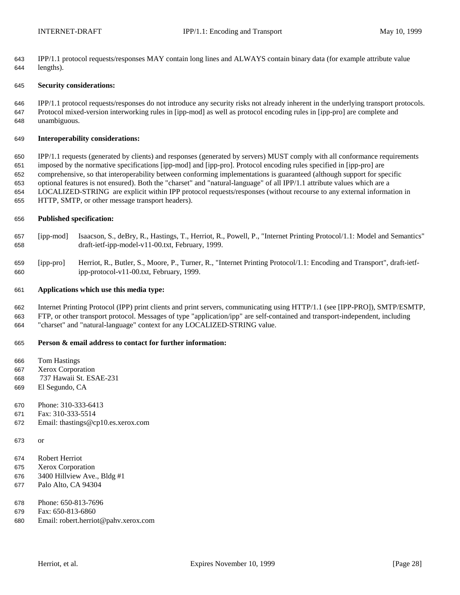IPP/1.1 protocol requests/responses MAY contain long lines and ALWAYS contain binary data (for example attribute value lengths).

#### **Security considerations:**

 IPP/1.1 protocol requests/responses do not introduce any security risks not already inherent in the underlying transport protocols. Protocol mixed-version interworking rules in [ipp-mod] as well as protocol encoding rules in [ipp-pro] are complete and unambiguous.

#### **Interoperability considerations:**

 IPP/1.1 requests (generated by clients) and responses (generated by servers) MUST comply with all conformance requirements imposed by the normative specifications [ipp-mod] and [ipp-pro]. Protocol encoding rules specified in [ipp-pro] are comprehensive, so that interoperability between conforming implementations is guaranteed (although support for specific optional features is not ensured). Both the "charset" and "natural-language" of all IPP/1.1 attribute values which are a LOCALIZED-STRING are explicit within IPP protocol requests/responses (without recourse to any external information in HTTP, SMTP, or other message transport headers).

#### **Published specification:**

- [ipp-mod] Isaacson, S., deBry, R., Hastings, T., Herriot, R., Powell, P., "Internet Printing Protocol/1.1: Model and Semantics" draft-ietf-ipp-model-v11-00.txt, February, 1999.
- [ipp-pro] Herriot, R., Butler, S., Moore, P., Turner, R., "Internet Printing Protocol/1.1: Encoding and Transport", draft-ietf-ipp-protocol-v11-00.txt, February, 1999.

#### **Applications which use this media type:**

- Internet Printing Protocol (IPP) print clients and print servers, communicating using HTTP/1.1 (see [IPP-PRO]), SMTP/ESMTP,
- FTP, or other transport protocol. Messages of type "application/ipp" are self-contained and transport-independent, including "charset" and "natural-language" context for any LOCALIZED-STRING value.

#### **Person & email address to contact for further information:**

Tom Hastings

- Xerox Corporation
- 737 Hawaii St. ESAE-231
- El Segundo, CA
- Phone: 310-333-6413
- Fax: 310-333-5514
- Email: thastings@cp10.es.xerox.com
- or
- Robert Herriot
- Xerox Corporation
- 3400 Hillview Ave., Bldg #1
- Palo Alto, CA 94304
- Phone: 650-813-7696
- Fax: 650-813-6860
- Email: robert.herriot@pahv.xerox.com